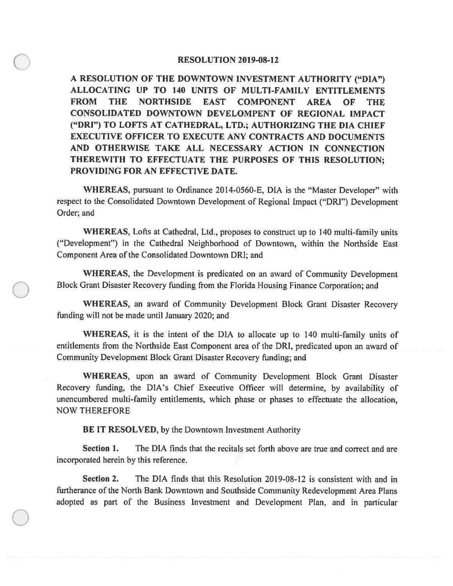## **RESOLUTION 2019-08-12**

**A RESOLUTION OF THE DOWNTOWN INVESTMENT AUTHORITY ("DIA") ALLOCATING UP TO 140 UNITS OF MULTI-FAMILY ENTITLEMENTS FROM THE NORTHSIDE EAST COMPONENT AREA OF THE CONSOLIDATED DOWNTOWN DEVELOMPENT OF REGIONAL IMPACT ("DR1") TO LOFTS AT CATHEDRAL, LTD.; AUTHORIZING THE DIA CHIEF EXECUTIVE OFFICER TO EXECUTE ANY CONTRACTS AND DOCUMENTS AND OTHERWISE TAKE ALL NECESSARY ACTION IN CONNECTION THEREWITH TO EFFECTUATE THE PURPOSES OF THIS RESOLUTION; PROVIDING FOR AN EFFECTIVE DATE.** 

**WHEREAS,** pursuant to Ordinance 2014-0560-E, DIA is the "Master Developer" with respect to the Consolidated Downtown Development of Regional Impact ("ORI") Development Order; and

**WHEREAS,** Lofts at Cathedral, Ltd., proposes to construct up to 140 multi-family units ("Development") in the Cathedral Neighborhood of Downtown, within the Northside East Component Area of the Consolidated Downtown ORI; and

**WHEREAS,** the Development is predicated on an award of Community Development Block Grant Disaster Recovery funding from the Florida Housing Finance Corporation; and

**WHEREAS,** an award of Community Development Block Grant Disaster Recovery funding will not be made until January 2020; and

**WHEREAS,** it is the intent of the DIA to allocate up to 140 multi-family units of entitlements from the Northside East Component area of the ORI, predicated upon an award of Community Development Block Grant Disaster Recovery funding; and

**WHEREAS,** upon an award of Community Development Block Grant Disaster Recovery funding, the DIA's Chief Executive Officer will determine, by availability of unencumbered multi-family entitlements, which phase or phases to effectuate the allocation, NOW THEREFORE

**BE IT RESOLVED,** by the Downtown Investment Authority

 $\bigcirc$ 

 $\bigcirc$ 

**Section 1.** The DIA finds that the recitals set forth above are true and correct and are incorporated herein by this reference.

**Section 2.** The DIA finds that this Resolution 2019-08-12 is consistent with and in furtherance of the North Bank Downtown and Southside Community Redevelopment Area Plans adopted as part of the Business Investment and Development Plan, and in particular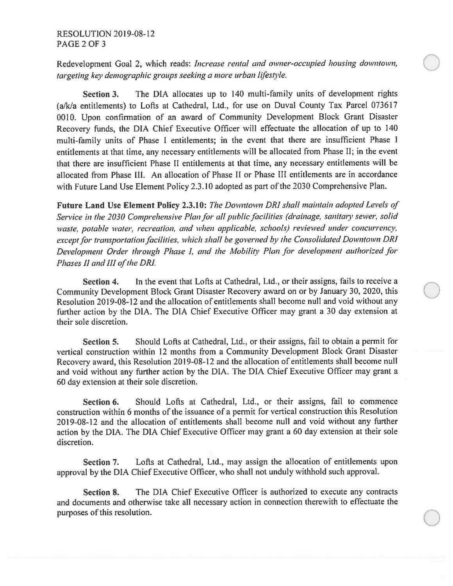Redevelopment Goal 2, which reads: *Increase rental and owner-occupied housing downtown, targeting key demographic groups seeking a more urban lifestyle.* 

 $\overline{O}$ 

**Section 3.** The DIA allocates up to 140 multi-family units of development rights (a/k/a entitlements) to Lofts at Cathedral, Ltd., for use on Duval County Tax Parcel 073617 00IO. Upon confinnation of an award of Community Development Block Grant Disaster Recovery funds, the DIA Chief Executive Officer will effectuate the allocation of up to 140 multi-family units of Phase I entitlements; in the event that there are insufficient Phase I entitlements at that time, any necessary entitlements will be allocated from Phase II; in the event that there are insufficient Phase II entitlements at that time, any necessary entitlements will be allocated from Phase III. An allocation of Phase II or Phase III entitlements are in accordance with Future Land Use Element Policy 2.3. IO adopted as part of the 2030 Comprehensive Plan.

**Future Land Use Element Policy 2.3.10:** *The Downtown DRI shall maintain adopted Levels of Service in the 2030 Comprehensive Plan for all public facilities (drainage, sanitary sewer, solid waste, potable water, recreation, and when applicable, schools) reviewed under concurrency, except for transportation facilities, which shall be governed by the Consolidated Downtown DRI Development Order through Phase I, and the Mobility Plan for development authorized for Phases fl and III of the DRJ.* 

Section 4. In the event that Lofts at Cathedral, Ltd., or their assigns, fails to receive a Community Development Block Grant Disaster Recovery award on or by January 30, 2020, this Resolution 2019-08-12 and the allocation of entitlements shall become null and void without any further action by the DIA. The DIA Chief Executive Officer may grant a 30 day extension at their sole discretion.

**Section 5.** Should Lofts at Cathedral, Ltd., or their assigns, fail to obtain a permit for vertical construction within 12 months from a Community Development Block Grant Disaster Recovery award, this Resolution 2019-08-12 and the allocation of entitlements shall become null and void without any further action by the DIA. The DIA Chief Executive Officer may grant a 60 day extension at their sole discretion.

**Section 6.** Should Lofts at Cathedral, Ltd., or their assigns, fail to commence construction within 6 months of the issuance of a pennit for vertical construction this Resolution 2019-08-12 and the allocation of entitlements shall become null and void without any further action by the DIA. The DIA Chief Executive Officer may grant a 60 day extension at their sole discretion.

**Section** 7. Lofts at Cathedral, Ltd., may assign the allocation of entitlements upon approval by the DIA Chief Executive Officer, who shall not unduly withhold such approval.

**Section 8.** The DIA Chief Executive Officer is authorized to execute any contracts and documents and otherwise take all necessary action in connection therewith to effectuate the  $\Box$  purposes of this resolution.